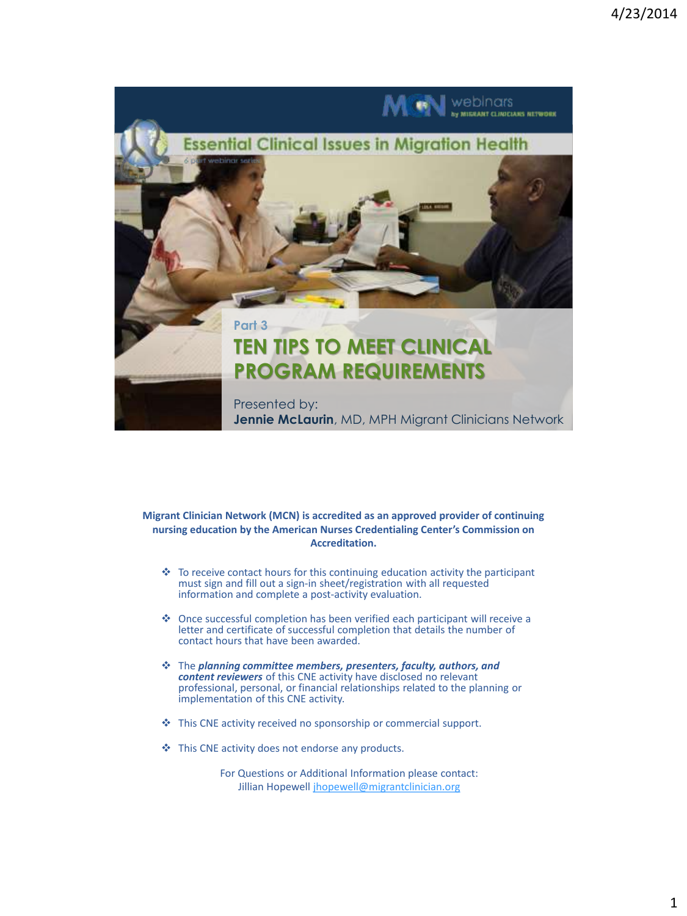

#### **Migrant Clinician Network (MCN) is accredited as an approved provider of continuing nursing education by the American Nurses Credentialing Center's Commission on Accreditation.**

- To receive contact hours for this continuing education activity the participant must sign and fill out a sign-in sheet/registration with all requested information and complete a post-activity evaluation.
- Once successful completion has been verified each participant will receive a letter and certificate of successful completion that details the number of contact hours that have been awarded.
- The *planning committee members, presenters, faculty, authors, and content reviewers* of this CNE activity have disclosed no relevant professional, personal, or financial relationships related to the planning or implementation of this CNE activity.
- $\triangleq$  This CNE activity received no sponsorship or commercial support.
- This CNE activity does not endorse any products.

For Questions or Additional Information please contact: Jillian Hopewell [jhopewell@migrantclinician.org](mailto:jhopewell@migrantclinician.org)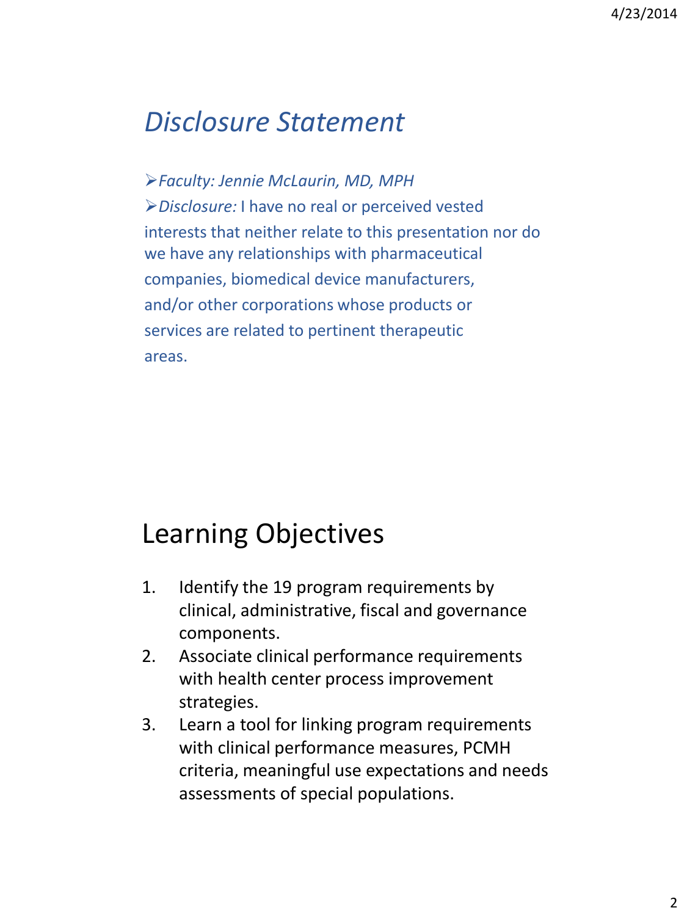# *Disclosure Statement*

*Faculty: Jennie McLaurin, MD, MPH Disclosure:* I have no real or perceived vested interests that neither relate to this presentation nor do we have any relationships with pharmaceutical companies, biomedical device manufacturers, and/or other corporations whose products or services are related to pertinent therapeutic areas.

# Learning Objectives

- 1. Identify the 19 program requirements by clinical, administrative, fiscal and governance components.
- 2. Associate clinical performance requirements with health center process improvement strategies.
- 3. Learn a tool for linking program requirements with clinical performance measures, PCMH criteria, meaningful use expectations and needs assessments of special populations.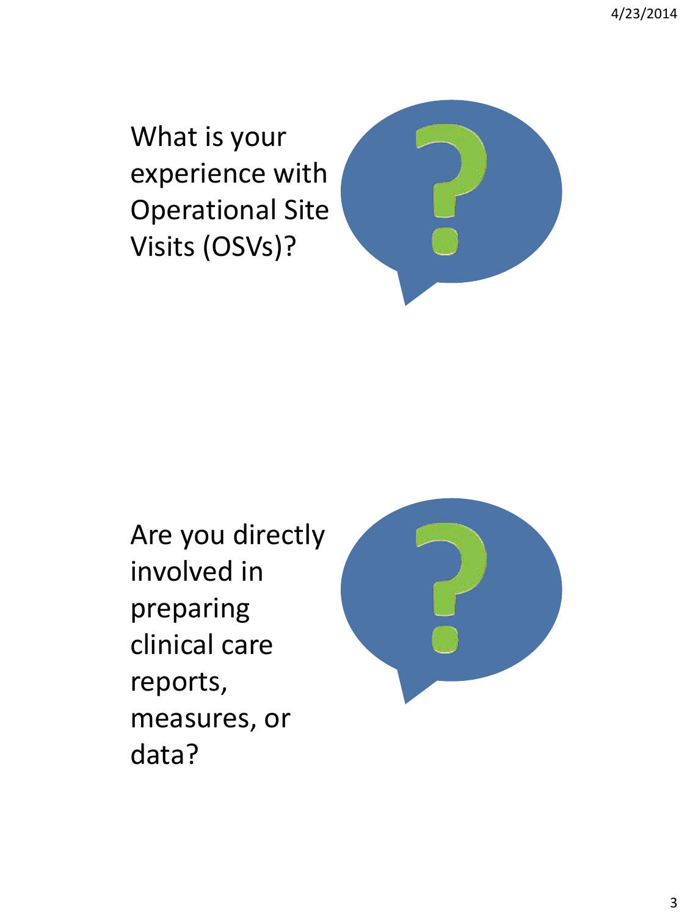4/23/2014

What is your experience with Operational Site Visits (OSVs)?



Are you directly involved in preparing clinical care reports, measures, or data?

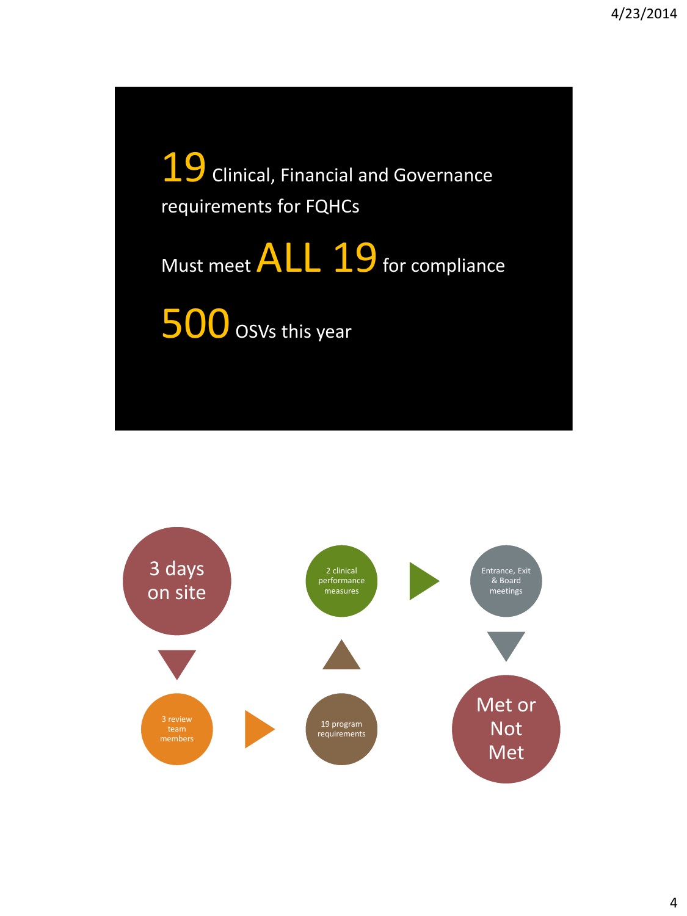19 Clinical, Financial and Governance requirements for FQHCs

Must meet **ALL 19** for compliance

500 osvs this year

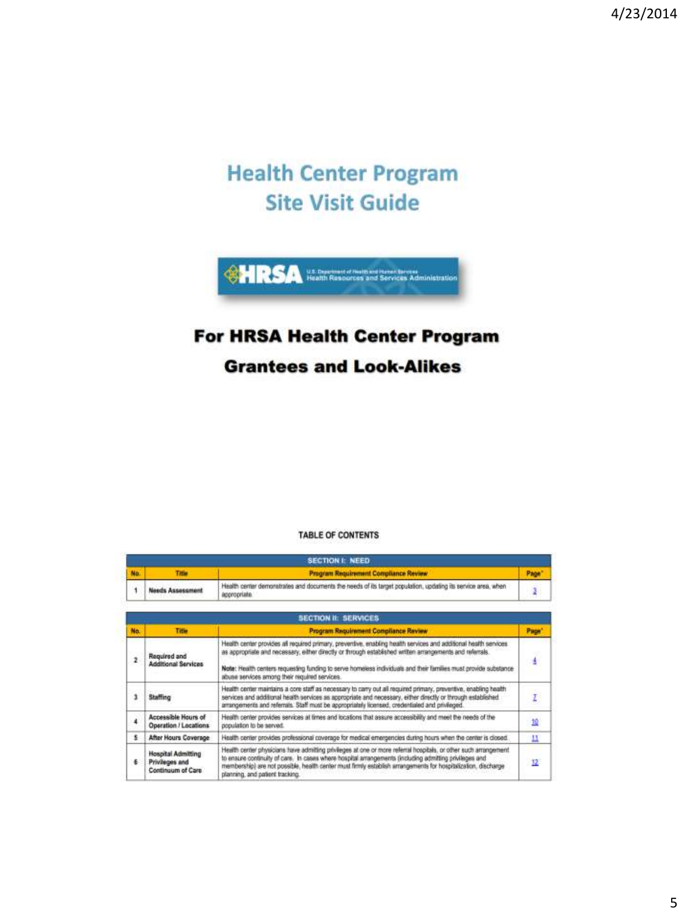#### **Health Center Program Site Visit Guide**



#### **For HRSA Health Center Program**

#### **Grantees and Look-Alikes**

#### **TABLE OF CONTENTS**

| <b>SECTION I: NEED</b> |                                                           |                                                                                                                                                                                                                                                                                                                                                                                                  |                   |
|------------------------|-----------------------------------------------------------|--------------------------------------------------------------------------------------------------------------------------------------------------------------------------------------------------------------------------------------------------------------------------------------------------------------------------------------------------------------------------------------------------|-------------------|
| No.                    | <b>Title</b>                                              | <b>Program Requirement Compliance Review</b>                                                                                                                                                                                                                                                                                                                                                     | Page <sup>*</sup> |
| 1                      | <b>Needs Assessment</b>                                   | Health center demonstrates and documents the needs of its target population, updating its service area, when<br>appropriate.                                                                                                                                                                                                                                                                     | ã                 |
|                        |                                                           | <b>SECTION IL SERVICES</b>                                                                                                                                                                                                                                                                                                                                                                       |                   |
| No.                    | Title                                                     | <b>Program Requirement Compliance Review</b>                                                                                                                                                                                                                                                                                                                                                     | Page <sup>*</sup> |
| $\overline{z}$         | Regulred and<br><b>Additional Services</b>                | Health center provides all required primary, preventive, enabling health services and additional health services<br>as appropriate and necessary, either directly or through established written arrangements and referrals.<br>Note: Health centers requesting funding to serve homeless individuals and their families must provide substance<br>abuse services among their required services. | ú                 |
| ı                      | <b>Staffing</b>                                           | Health center maintains a core staff as necessary to carry out all required primary, preventive, enabling health<br>services and additional health services as appropriate and necessary, either directly or through established.<br>arrangements and referrals. Staff must be appropriately licensed, credentialed and privileged.                                                              | I                 |
| 4                      | Accessible Hours of<br>Operation / Locations              | Health center provides services at times and locations that assure accessibility and meet the needs of the<br>population to be served.                                                                                                                                                                                                                                                           | 追                 |
| 昱                      | After Hours Coverage                                      | Health center provides professional coverage for medical emergencies during hours when the center is closed.                                                                                                                                                                                                                                                                                     | п                 |
| 6                      | Hospital Admitting<br>Privileges and<br>Continuum of Care | Health center physicians have admitting privileges at one or more referral hospitals, or other such arrangement<br>to ensure continuity of care. In cases where hospital arrangements (including admitting privileges and<br>membership) are not possible, health center must firmly establish arrangements for hospitalization, discharge<br>planning, and patient tracking.                    | 12                |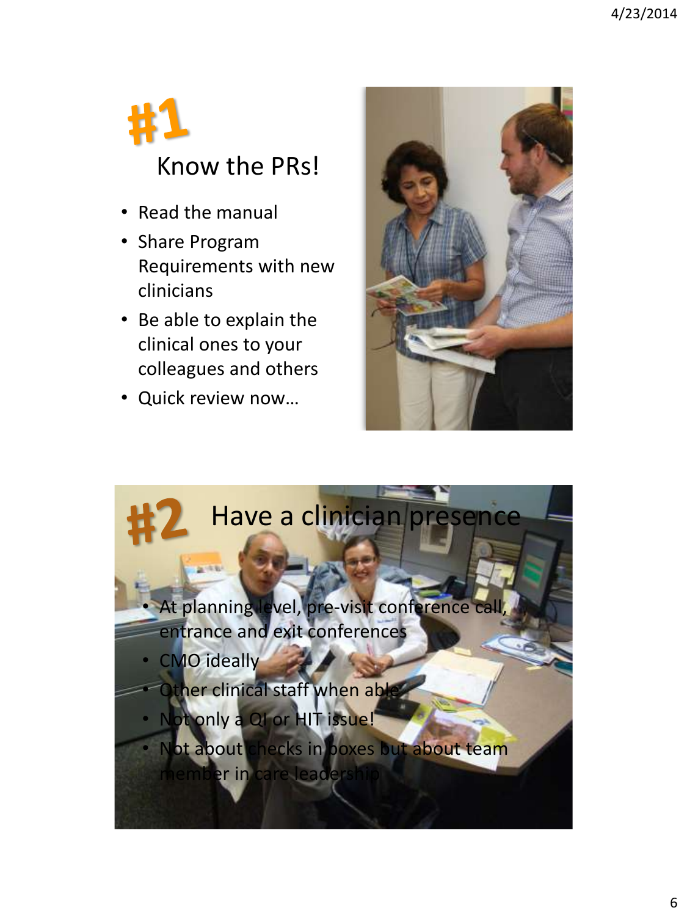

- Read the manual
- Share Program Requirements with new clinicians
- Be able to explain the clinical ones to your colleagues and others
- Quick review now…



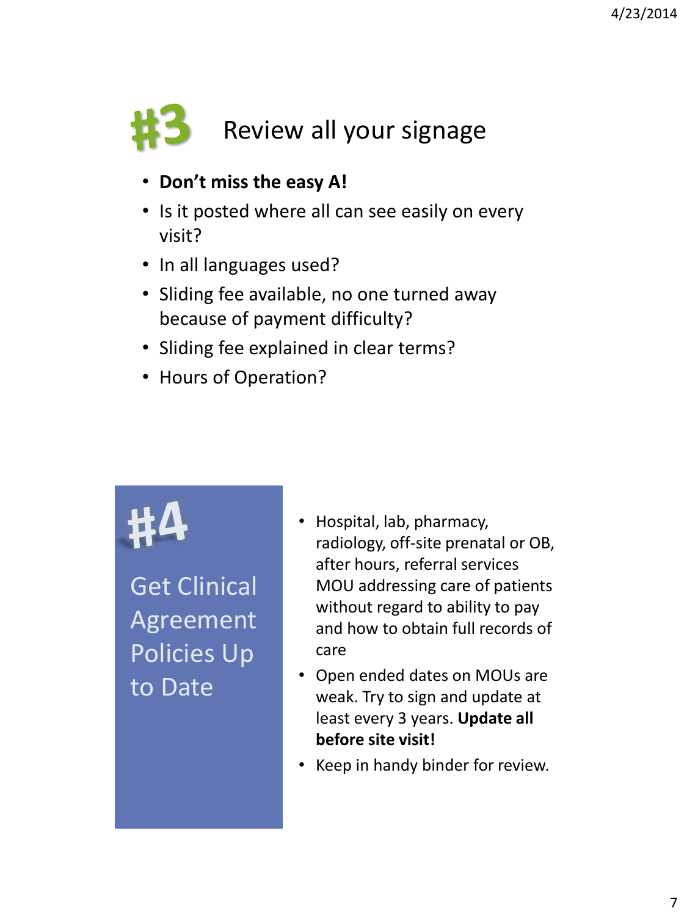

- **Don't miss the easy A!**
- Is it posted where all can see easily on every visit?
- In all languages used?
- Sliding fee available, no one turned away because of payment difficulty?
- Sliding fee explained in clear terms?
- Hours of Operation?

Get Clinical Agreement Policies Up to Date

- Hospital, lab, pharmacy, radiology, off-site prenatal or OB, after hours, referral services MOU addressing care of patients without regard to ability to pay and how to obtain full records of care
- Open ended dates on MOUs are weak. Try to sign and update at least every 3 years. **Update all before site visit!**
- Keep in handy binder for review.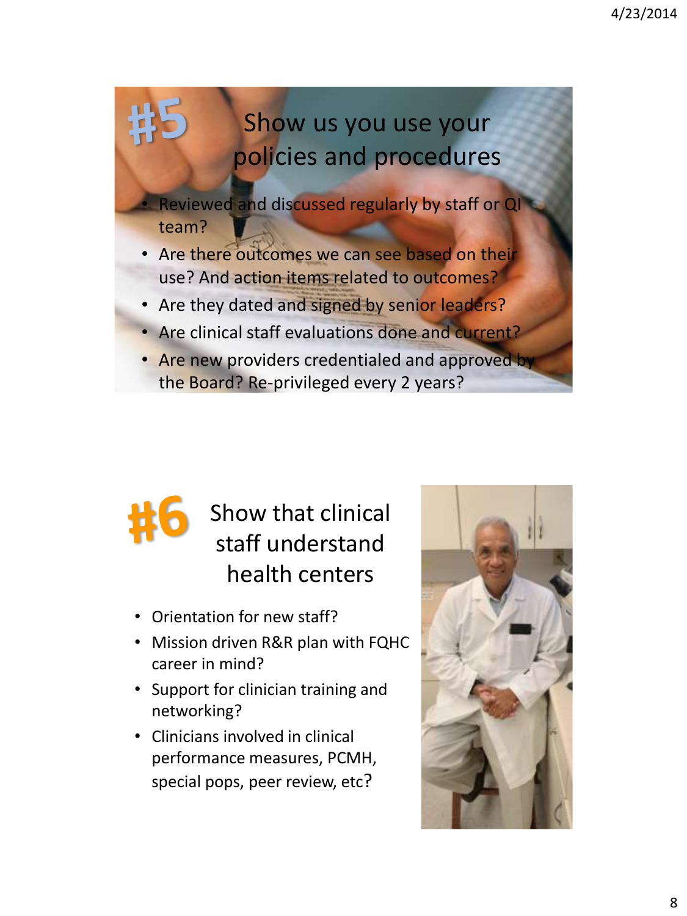## Show us you use your policies and procedures

Reviewed and discussed regularly by staff or QI team?

- Are there outcomes we can see based on their use? And action items related to outcomes?
- Are they dated and signed by senior leaders?
- Are clinical staff evaluations done and current?
- Are new providers credentialed and approved by the Board? Re-privileged every 2 years?

## Show that clinical staff understand health centers

- Orientation for new staff?
- Mission driven R&R plan with FQHC career in mind?
- Support for clinician training and networking?
- Clinicians involved in clinical performance measures, PCMH, special pops, peer review, etc?

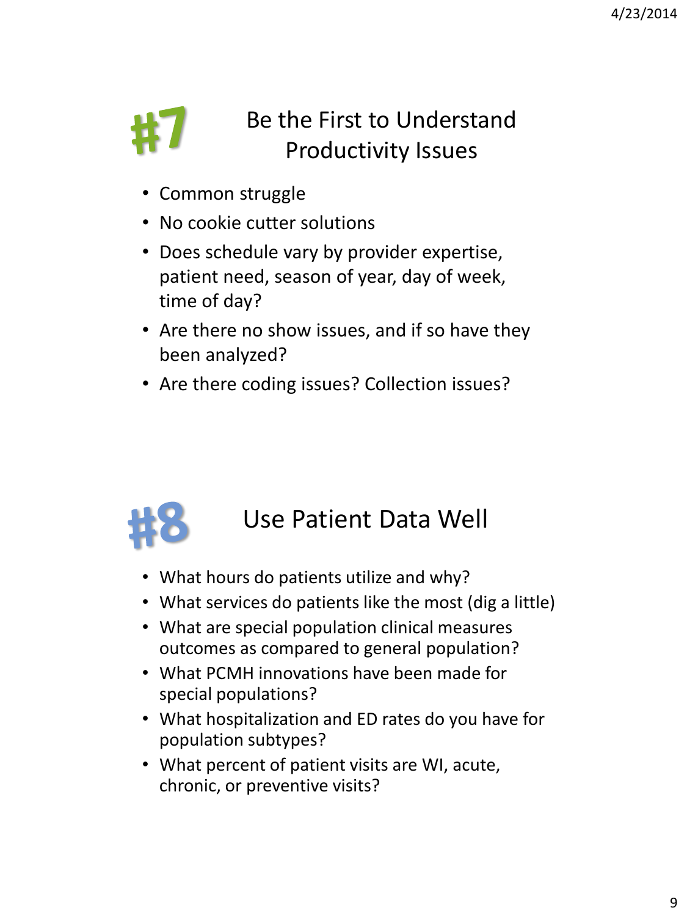

## Be the First to Understand Productivity Issues

- Common struggle
- No cookie cutter solutions
- Does schedule vary by provider expertise, patient need, season of year, day of week, time of day?
- Are there no show issues, and if so have they been analyzed?
- Are there coding issues? Collection issues?



#### Use Patient Data Well

- What hours do patients utilize and why?
- What services do patients like the most (dig a little)
- What are special population clinical measures outcomes as compared to general population?
- What PCMH innovations have been made for special populations?
- What hospitalization and ED rates do you have for population subtypes?
- What percent of patient visits are WI, acute, chronic, or preventive visits?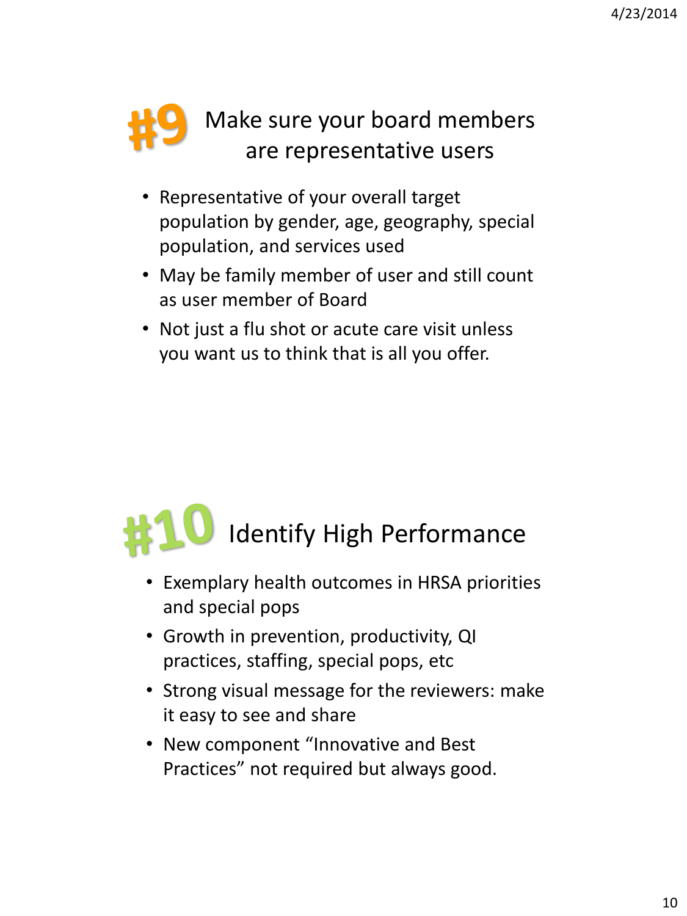## Make sure your board members are representative users

- Representative of your overall target population by gender, age, geography, special population, and services used
- May be family member of user and still count as user member of Board
- Not just a flu shot or acute care visit unless you want us to think that is all you offer.



- Exemplary health outcomes in HRSA priorities and special pops
- Growth in prevention, productivity, QI practices, staffing, special pops, etc
- Strong visual message for the reviewers: make it easy to see and share
- New component "Innovative and Best Practices" not required but always good.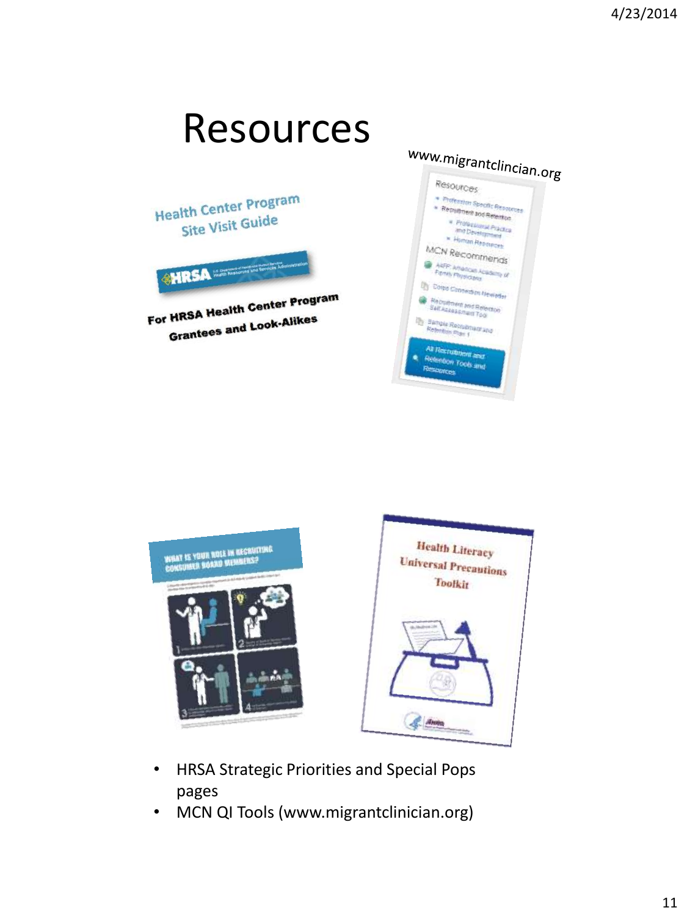#### Resources www.migrantclincian.org Resources Health Center Program \* Profession Specific Resources \* Recruitment and Retention **Site Visit Guide** \* Professional Practice<br>and Development<br>\* Human Res - Human Reporters MCN Recommends **CHRSA ARFP: Amencan Academy**<br>Family Physicians<br>Tommes **Dy Corps Connection Newleds** For HRSA Health Center Program **Comment and Reference In the Self Aggester** HRSA Health Collection HRSA Health Collection **Bungle Reco** ienant and Tan 1 rutment and tion Tools and



- HRSA Strategic Priorities and Special Pops pages
- MCN QI Tools (www.migrantclinician.org)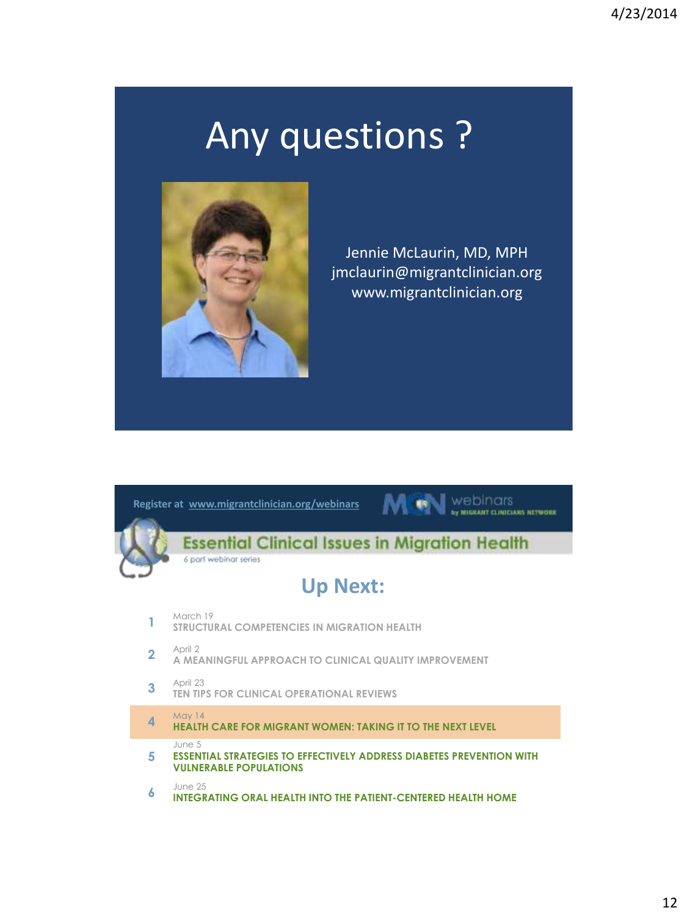# Any questions ?



Jennie McLaurin, MD, MPH jmclaurin@migrantclinician.org www.migrantclinician.org



June 25

**6 INTEGRATING ORAL HEALTH INTO THE PATIENT-CENTERED HEALTH HOME**